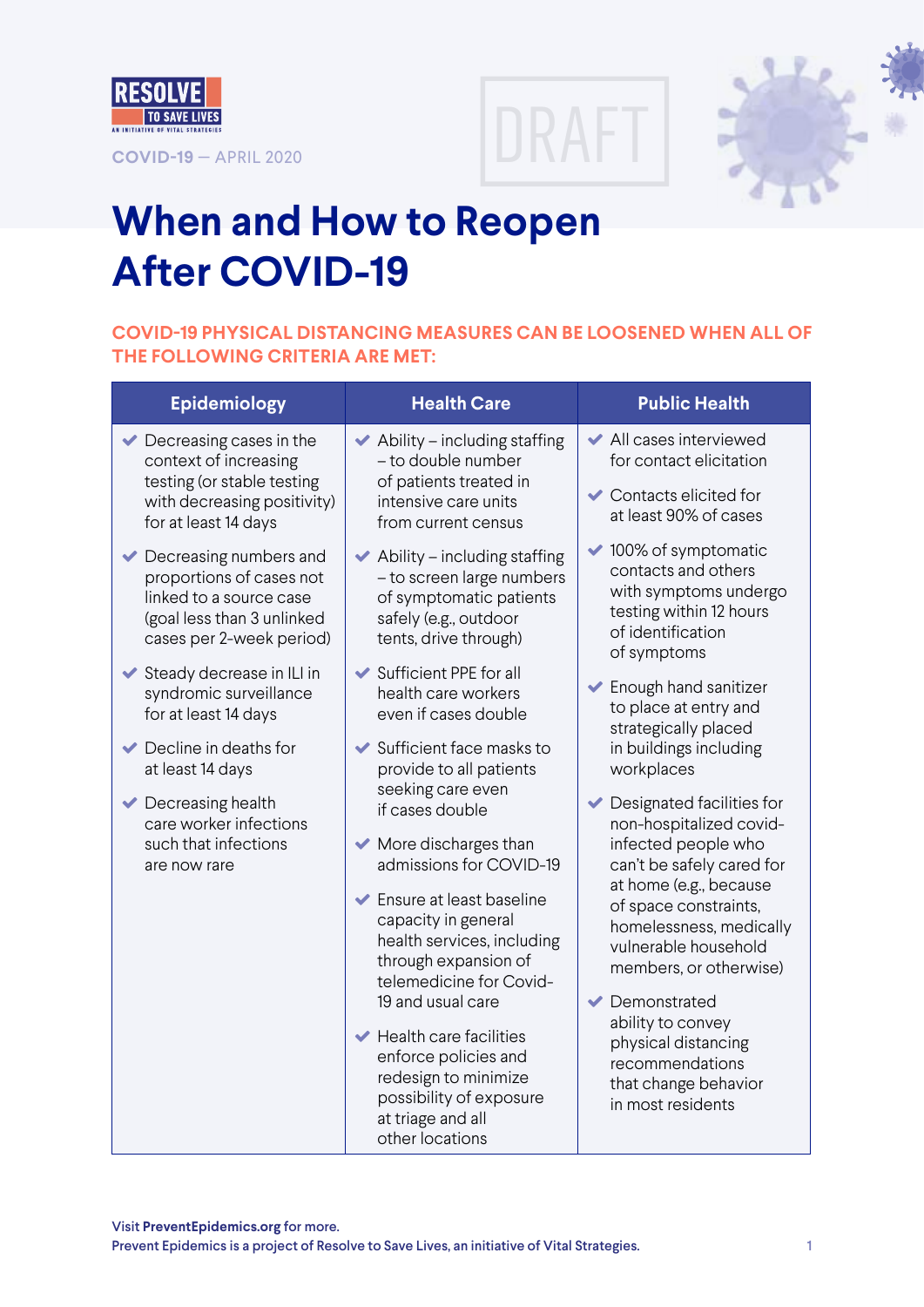





## **When and How to Reopen After COVID-19**

## **COVID-19 PHYSICAL DISTANCING MEASURES CAN BE LOOSENED WHEN ALL OF THE FOLLOWING CRITERIA ARE MET:**

| <b>Epidemiology</b>                                                                                                                                           | <b>Health Care</b>                                                                                                                          | <b>Public Health</b>                                                                                                                 |  |
|---------------------------------------------------------------------------------------------------------------------------------------------------------------|---------------------------------------------------------------------------------------------------------------------------------------------|--------------------------------------------------------------------------------------------------------------------------------------|--|
| Decreasing cases in the<br>✔<br>context of increasing<br>testing (or stable testing                                                                           | $\blacktriangleright$ Ability – including staffing<br>- to double number                                                                    |                                                                                                                                      |  |
| with decreasing positivity)<br>for at least 14 days                                                                                                           | of patients treated in<br>intensive care units<br>from current census                                                                       | Contacts elicited for<br>at least 90% of cases                                                                                       |  |
| $\blacktriangleright$ Decreasing numbers and<br>proportions of cases not<br>linked to a source case<br>(goal less than 3 unlinked<br>cases per 2-week period) | Ability - including staffing<br>✔<br>- to screen large numbers<br>of symptomatic patients<br>safely (e.g., outdoor<br>tents, drive through) | ◆ 100% of symptomatic<br>contacts and others<br>with symptoms undergo<br>testing within 12 hours<br>of identification<br>of symptoms |  |
| ◆ Steady decrease in ILI in<br>syndromic surveillance<br>for at least 14 days                                                                                 | ◆ Sufficient PPE for all<br>health care workers<br>even if cases double                                                                     | Enough hand sanitizer<br>to place at entry and<br>strategically placed                                                               |  |
| $\blacktriangleright$ Decline in deaths for<br>at least 14 days                                                                                               | Sufficient face masks to<br>provide to all patients                                                                                         | in buildings including<br>workplaces                                                                                                 |  |
| $\blacktriangleright$ Decreasing health<br>care worker infections                                                                                             | seeking care even<br>if cases double                                                                                                        | Designated facilities for<br>✔<br>non-hospitalized covid-                                                                            |  |
| are now rare                                                                                                                                                  | such that infections<br>$\blacktriangleright$ More discharges than<br>admissions for COVID-19                                               | infected people who<br>can't be safely cared for<br>at home (e.g., because                                                           |  |
|                                                                                                                                                               | ← Ensure at least baseline<br>capacity in general<br>health services, including<br>through expansion of<br>telemedicine for Covid-          | of space constraints,<br>homelessness, medically<br>vulnerable household<br>members, or otherwise)                                   |  |
|                                                                                                                                                               | 19 and usual care<br>$\blacktriangleright$ Health care facilities                                                                           | Demonstrated<br>$\blacktriangledown$<br>ability to convey                                                                            |  |
|                                                                                                                                                               | enforce policies and<br>redesign to minimize<br>possibility of exposure<br>at triage and all<br>other locations                             | physical distancing<br>recommendations<br>that change behavior<br>in most residents                                                  |  |